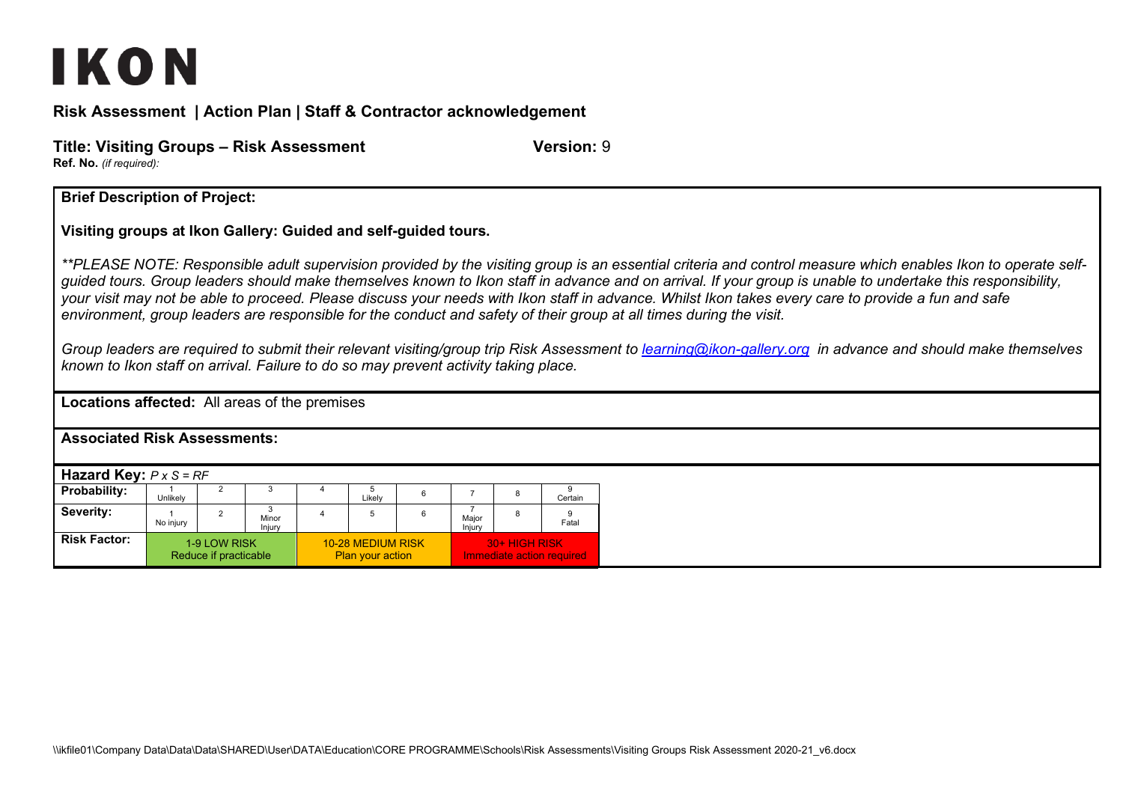## IKON

**Risk Assessment | Action Plan | Staff & Contractor acknowledgement**

| Title: Visiting Groups – Risk Assessment | Version: 9 |
|------------------------------------------|------------|
| <b>Ref. No.</b> (if required):           |            |

**Brief Description of Project:**

**Visiting groups at Ikon Gallery: Guided and self-guided tours.** 

*\*\*PLEASE NOTE: Responsible adult supervision provided by the visiting group is an essential criteria and control measure which enables Ikon to operate selfguided tours. Group leaders should make themselves known to Ikon staff in advance and on arrival. If your group is unable to undertake this responsibility, your visit may not be able to proceed. Please discuss your needs with Ikon staff in advance. Whilst Ikon takes every care to provide a fun and safe environment, group leaders are responsible for the conduct and safety of their group at all times during the visit.*

*Group leaders are required to submit their relevant visiting/group trip Risk Assessment to [learning@ikon-gallery.org](mailto:learning@ikon-gallery.org) in advance and should make themselves known to Ikon staff on arrival. Failure to do so may prevent activity taking place.*

**Locations affected:** All areas of the premises

**Associated Risk Assessments:** 

| <b>Hazard Key:</b> $P \times S = RF$ |           |                                       |                 |  |                                              |  |                                            |  |         |
|--------------------------------------|-----------|---------------------------------------|-----------------|--|----------------------------------------------|--|--------------------------------------------|--|---------|
| <b>Probability:</b>                  | Unlikely  |                                       |                 |  | Likelv                                       |  |                                            |  | Certain |
| Severity:                            | No injury |                                       | Minor<br>Injury |  | 5                                            |  | Maior<br>Injury                            |  | Fatal   |
| <b>Risk Factor:</b>                  |           | 1-9 LOW RISK<br>Reduce if practicable |                 |  | 10-28 MEDIUM RISK<br><b>Plan your action</b> |  | 30+ HIGH RISK<br>Immediate action required |  |         |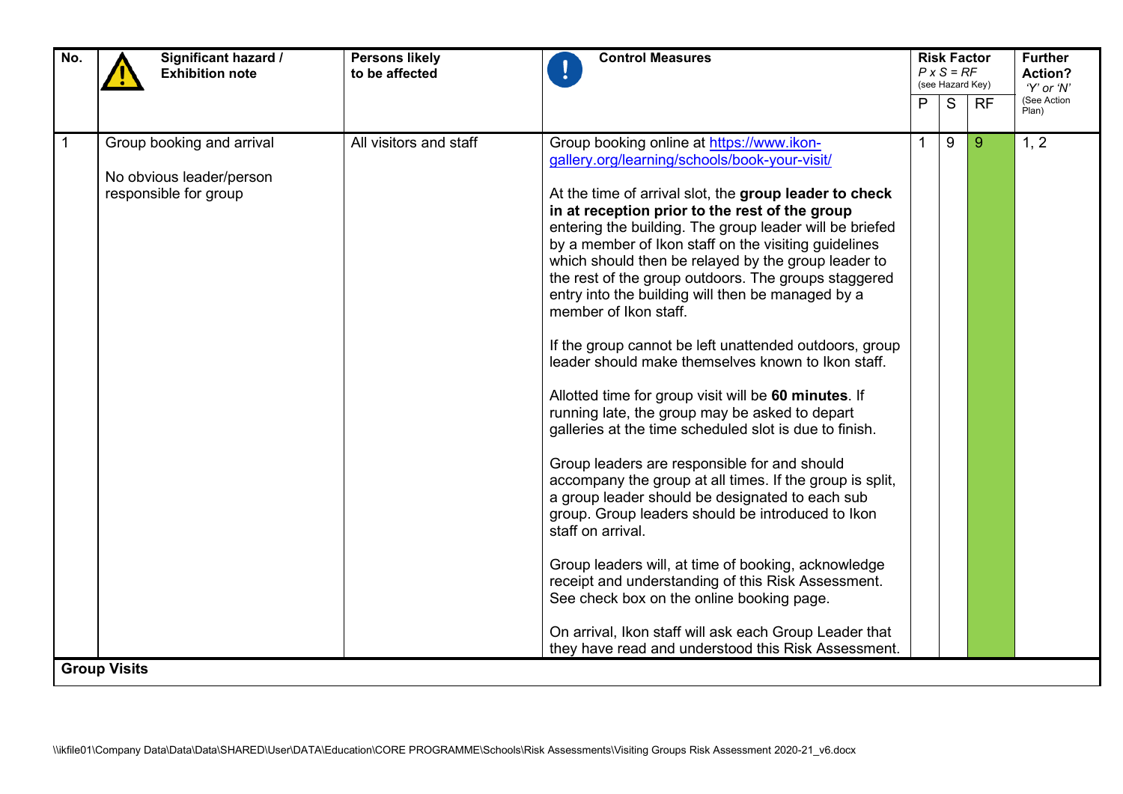| No. | Significant hazard /<br><b>Control Measures</b><br><b>Persons likely</b><br><b>Exhibition note</b><br>to be affected |                        | <b>Risk Factor</b><br>$P \times S = RF$<br>(see Hazard Key)                                                                                                                                                                                                                                                                                                                                                                                                                                                                                                                                                                                                                                                                                                                                                                                                                                                                                                                                                                                                                                                                                                                                                                                                                                                                    |   |   | <b>Further</b><br>Action?<br>'Y' or 'N' |                      |
|-----|----------------------------------------------------------------------------------------------------------------------|------------------------|--------------------------------------------------------------------------------------------------------------------------------------------------------------------------------------------------------------------------------------------------------------------------------------------------------------------------------------------------------------------------------------------------------------------------------------------------------------------------------------------------------------------------------------------------------------------------------------------------------------------------------------------------------------------------------------------------------------------------------------------------------------------------------------------------------------------------------------------------------------------------------------------------------------------------------------------------------------------------------------------------------------------------------------------------------------------------------------------------------------------------------------------------------------------------------------------------------------------------------------------------------------------------------------------------------------------------------|---|---|-----------------------------------------|----------------------|
|     |                                                                                                                      |                        |                                                                                                                                                                                                                                                                                                                                                                                                                                                                                                                                                                                                                                                                                                                                                                                                                                                                                                                                                                                                                                                                                                                                                                                                                                                                                                                                | P | S | <b>RF</b>                               | (See Action<br>Plan) |
|     | Group booking and arrival<br>No obvious leader/person<br>responsible for group<br><b>Group Visits</b>                | All visitors and staff | Group booking online at https://www.ikon-<br>gallery.org/learning/schools/book-your-visit/<br>At the time of arrival slot, the group leader to check<br>in at reception prior to the rest of the group<br>entering the building. The group leader will be briefed<br>by a member of Ikon staff on the visiting guidelines<br>which should then be relayed by the group leader to<br>the rest of the group outdoors. The groups staggered<br>entry into the building will then be managed by a<br>member of Ikon staff.<br>If the group cannot be left unattended outdoors, group<br>leader should make themselves known to Ikon staff.<br>Allotted time for group visit will be 60 minutes. If<br>running late, the group may be asked to depart<br>galleries at the time scheduled slot is due to finish.<br>Group leaders are responsible for and should<br>accompany the group at all times. If the group is split,<br>a group leader should be designated to each sub<br>group. Group leaders should be introduced to Ikon<br>staff on arrival.<br>Group leaders will, at time of booking, acknowledge<br>receipt and understanding of this Risk Assessment.<br>See check box on the online booking page.<br>On arrival, Ikon staff will ask each Group Leader that<br>they have read and understood this Risk Assessment. |   | 9 | 9                                       | 1, 2                 |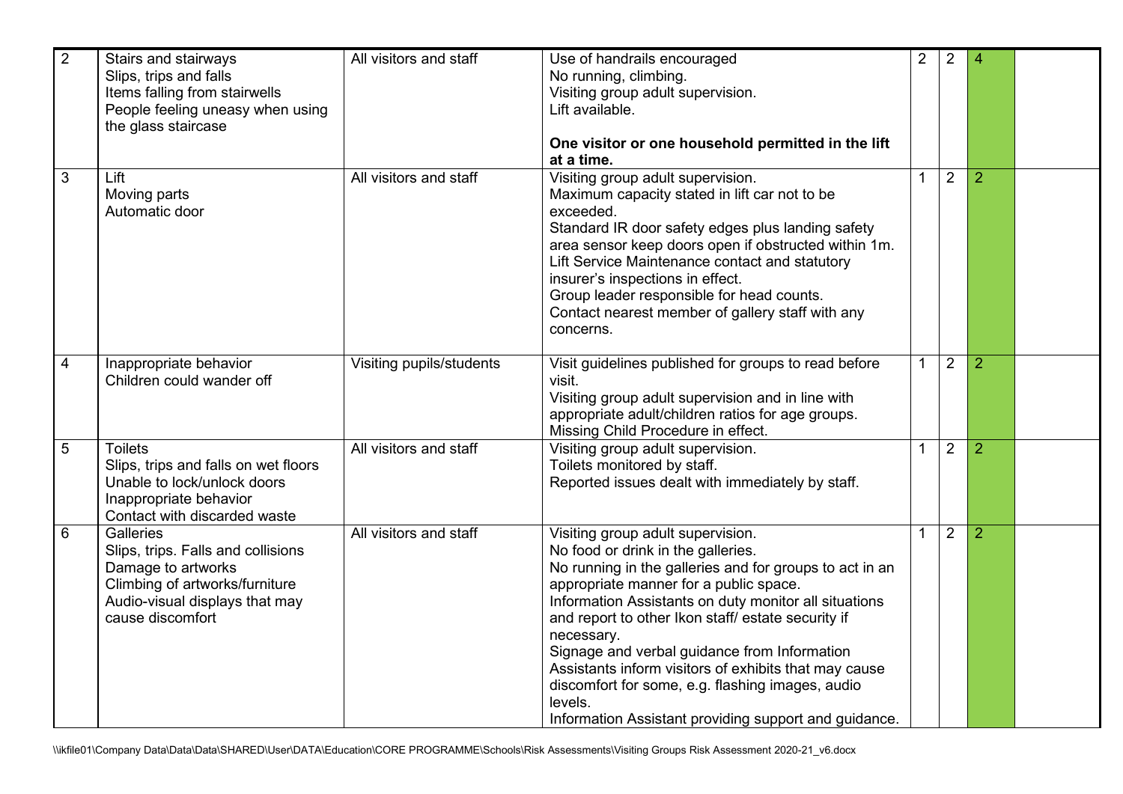| $\overline{2}$ | Stairs and stairways<br>Slips, trips and falls<br>Items falling from stairwells<br>People feeling uneasy when using<br>the glass staircase                    | All visitors and staff   | Use of handrails encouraged<br>No running, climbing.<br>Visiting group adult supervision.<br>Lift available.<br>One visitor or one household permitted in the lift<br>at a time.                                                                                                                                                                                                                                                                                                                                                           | $\overline{2}$ | $\overline{2}$ | $\overline{4}$ |  |
|----------------|---------------------------------------------------------------------------------------------------------------------------------------------------------------|--------------------------|--------------------------------------------------------------------------------------------------------------------------------------------------------------------------------------------------------------------------------------------------------------------------------------------------------------------------------------------------------------------------------------------------------------------------------------------------------------------------------------------------------------------------------------------|----------------|----------------|----------------|--|
| $\mathbf{3}$   | Lift<br>Moving parts<br>Automatic door                                                                                                                        | All visitors and staff   | Visiting group adult supervision.<br>Maximum capacity stated in lift car not to be<br>exceeded.<br>Standard IR door safety edges plus landing safety<br>area sensor keep doors open if obstructed within 1m.<br>Lift Service Maintenance contact and statutory<br>insurer's inspections in effect.<br>Group leader responsible for head counts.<br>Contact nearest member of gallery staff with any<br>concerns.                                                                                                                           |                | $\overline{2}$ | $\overline{2}$ |  |
| $\overline{4}$ | Inappropriate behavior<br>Children could wander off                                                                                                           | Visiting pupils/students | Visit guidelines published for groups to read before<br>visit.<br>Visiting group adult supervision and in line with<br>appropriate adult/children ratios for age groups.<br>Missing Child Procedure in effect.                                                                                                                                                                                                                                                                                                                             | $\mathbf{1}$   | $\overline{2}$ | $\overline{2}$ |  |
| 5              | <b>Toilets</b><br>Slips, trips and falls on wet floors<br>Unable to lock/unlock doors<br>Inappropriate behavior<br>Contact with discarded waste               | All visitors and staff   | Visiting group adult supervision.<br>Toilets monitored by staff.<br>Reported issues dealt with immediately by staff.                                                                                                                                                                                                                                                                                                                                                                                                                       | $\mathbf{1}$   | $\overline{2}$ | $\overline{2}$ |  |
| $6\,$          | Galleries<br>Slips, trips. Falls and collisions<br>Damage to artworks<br>Climbing of artworks/furniture<br>Audio-visual displays that may<br>cause discomfort | All visitors and staff   | Visiting group adult supervision.<br>No food or drink in the galleries.<br>No running in the galleries and for groups to act in an<br>appropriate manner for a public space.<br>Information Assistants on duty monitor all situations<br>and report to other Ikon staff/ estate security if<br>necessary.<br>Signage and verbal guidance from Information<br>Assistants inform visitors of exhibits that may cause<br>discomfort for some, e.g. flashing images, audio<br>levels.<br>Information Assistant providing support and guidance. | 1              | $\overline{2}$ | $\overline{2}$ |  |

\\ikfile01\Company Data\Data\Data\SHARED\User\DATA\Education\CORE PROGRAMME\Schools\Risk Assessments\Visiting Groups Risk Assessment 2020-21\_v6.docx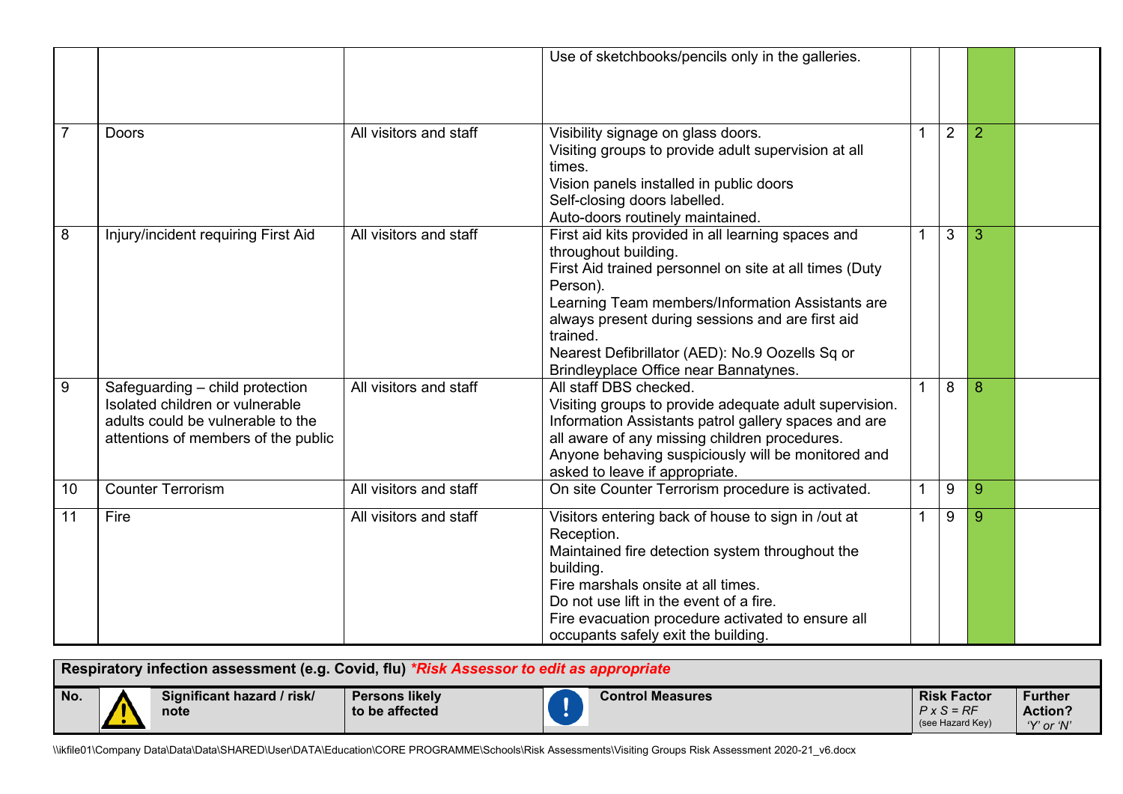|                |                                                                                                                                                |                        | Use of sketchbooks/pencils only in the galleries.                                                                                                                                                                                                                                                                                                                |              |                |   |  |
|----------------|------------------------------------------------------------------------------------------------------------------------------------------------|------------------------|------------------------------------------------------------------------------------------------------------------------------------------------------------------------------------------------------------------------------------------------------------------------------------------------------------------------------------------------------------------|--------------|----------------|---|--|
| $\overline{7}$ | <b>Doors</b>                                                                                                                                   | All visitors and staff | Visibility signage on glass doors.<br>Visiting groups to provide adult supervision at all<br>times.<br>Vision panels installed in public doors<br>Self-closing doors labelled.<br>Auto-doors routinely maintained.                                                                                                                                               |              | $\overline{2}$ | 2 |  |
| 8              | Injury/incident requiring First Aid                                                                                                            | All visitors and staff | First aid kits provided in all learning spaces and<br>throughout building.<br>First Aid trained personnel on site at all times (Duty<br>Person).<br>Learning Team members/Information Assistants are<br>always present during sessions and are first aid<br>trained.<br>Nearest Defibrillator (AED): No.9 Oozells Sq or<br>Brindleyplace Office near Bannatynes. |              | 3              | 3 |  |
| $9\,$          | Safeguarding - child protection<br>Isolated children or vulnerable<br>adults could be vulnerable to the<br>attentions of members of the public | All visitors and staff | All staff DBS checked.<br>Visiting groups to provide adequate adult supervision.<br>Information Assistants patrol gallery spaces and are<br>all aware of any missing children procedures.<br>Anyone behaving suspiciously will be monitored and<br>asked to leave if appropriate.                                                                                | $\mathbf{1}$ | 8              | 8 |  |
| 10             | <b>Counter Terrorism</b>                                                                                                                       | All visitors and staff | On site Counter Terrorism procedure is activated.                                                                                                                                                                                                                                                                                                                | 1            | 9              | 9 |  |
| 11             | Fire                                                                                                                                           | All visitors and staff | Visitors entering back of house to sign in /out at<br>Reception.<br>Maintained fire detection system throughout the<br>building.<br>Fire marshals onsite at all times.<br>Do not use lift in the event of a fire.<br>Fire evacuation procedure activated to ensure all<br>occupants safely exit the building.                                                    | 1            | 9              | 9 |  |

|     | Respiratory infection assessment (e.g. Covid, flu) <i>*Risk Assessor to edit as appropriate</i> |                                    |                                         |  |                         |                                                             |                                                |  |  |
|-----|-------------------------------------------------------------------------------------------------|------------------------------------|-----------------------------------------|--|-------------------------|-------------------------------------------------------------|------------------------------------------------|--|--|
| No. | $\sqrt{ }$                                                                                      | Significant hazard / risk/<br>note | <b>Persons likely</b><br>to be affected |  | <b>Control Measures</b> | <b>Risk Factor</b><br>$P \times S = RF$<br>(see Hazard Key) | <b>Further</b><br><b>Action?</b><br>'Y' or 'N' |  |  |

\\ikfile01\Company Data\Data\Data\SHARED\User\DATA\Education\CORE PROGRAMME\Schools\Risk Assessments\Visiting Groups Risk Assessment 2020-21\_v6.docx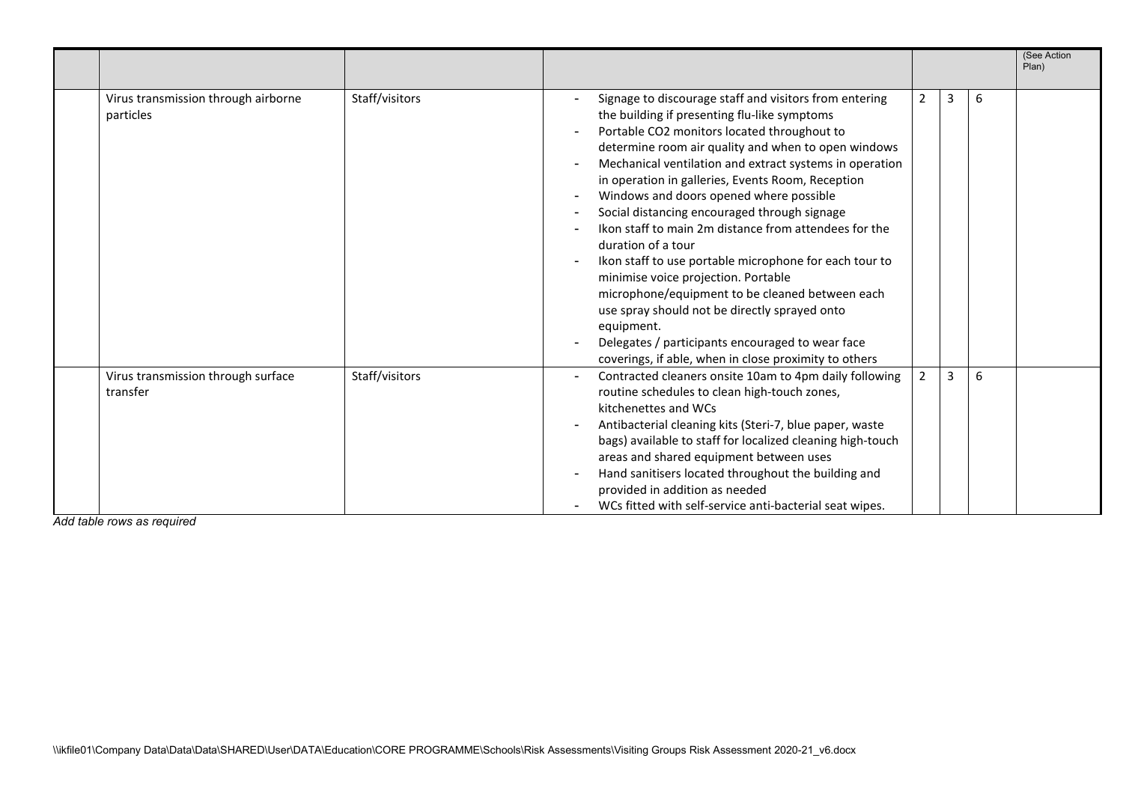|                                                  |                |                                                                                                                                                                                                                                                                                                                                                                                                                                                                                                                                                                                                                                                                                                                                                                                                                                        |                |   |   | (See Action<br>Plan) |
|--------------------------------------------------|----------------|----------------------------------------------------------------------------------------------------------------------------------------------------------------------------------------------------------------------------------------------------------------------------------------------------------------------------------------------------------------------------------------------------------------------------------------------------------------------------------------------------------------------------------------------------------------------------------------------------------------------------------------------------------------------------------------------------------------------------------------------------------------------------------------------------------------------------------------|----------------|---|---|----------------------|
| Virus transmission through airborne<br>particles | Staff/visitors | Signage to discourage staff and visitors from entering<br>the building if presenting flu-like symptoms<br>Portable CO2 monitors located throughout to<br>determine room air quality and when to open windows<br>Mechanical ventilation and extract systems in operation<br>in operation in galleries, Events Room, Reception<br>Windows and doors opened where possible<br>Social distancing encouraged through signage<br>Ikon staff to main 2m distance from attendees for the<br>duration of a tour<br>Ikon staff to use portable microphone for each tour to<br>minimise voice projection. Portable<br>microphone/equipment to be cleaned between each<br>use spray should not be directly sprayed onto<br>equipment.<br>Delegates / participants encouraged to wear face<br>coverings, if able, when in close proximity to others | 2              | 3 | 6 |                      |
| Virus transmission through surface<br>transfer   | Staff/visitors | Contracted cleaners onsite 10am to 4pm daily following<br>routine schedules to clean high-touch zones,<br>kitchenettes and WCs<br>Antibacterial cleaning kits (Steri-7, blue paper, waste<br>bags) available to staff for localized cleaning high-touch<br>areas and shared equipment between uses<br>Hand sanitisers located throughout the building and<br>provided in addition as needed<br>WCs fitted with self-service anti-bacterial seat wipes.                                                                                                                                                                                                                                                                                                                                                                                 | $\mathfrak{p}$ | 3 | 6 |                      |

*Add table rows as required*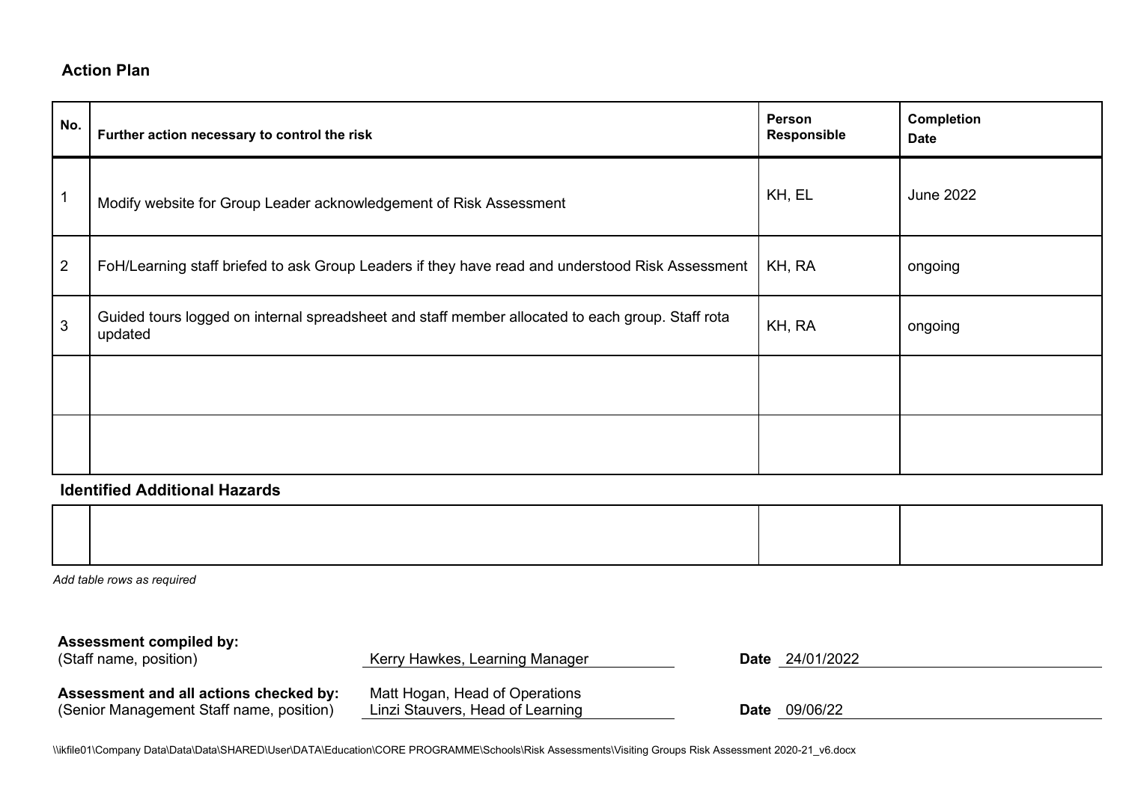## **Action Plan**

| No.            | Further action necessary to control the risk                                                                | Person<br>Responsible | <b>Completion</b><br><b>Date</b> |
|----------------|-------------------------------------------------------------------------------------------------------------|-----------------------|----------------------------------|
| 1              | Modify website for Group Leader acknowledgement of Risk Assessment                                          | KH, EL                | <b>June 2022</b>                 |
| $\overline{2}$ | FoH/Learning staff briefed to ask Group Leaders if they have read and understood Risk Assessment            | KH, RA                | ongoing                          |
| 3              | Guided tours logged on internal spreadsheet and staff member allocated to each group. Staff rota<br>updated | KH, RA                | ongoing                          |
|                |                                                                                                             |                       |                                  |
|                |                                                                                                             |                       |                                  |

## **Identified Additional Hazards**

*Add table rows as required*

| <b>Assessment compiled by:</b><br>(Staff name, position)                           | Kerry Hawkes, Learning Manager                                     |      | <b>Date</b> 24/01/2022 |
|------------------------------------------------------------------------------------|--------------------------------------------------------------------|------|------------------------|
| Assessment and all actions checked by:<br>(Senior Management Staff name, position) | Matt Hogan, Head of Operations<br>Linzi Stauvers, Head of Learning | Date | 09/06/22               |

\\ikfile01\Company Data\Data\Data\SHARED\User\DATA\Education\CORE PROGRAMME\Schools\Risk Assessments\Visiting Groups Risk Assessment 2020-21\_v6.docx